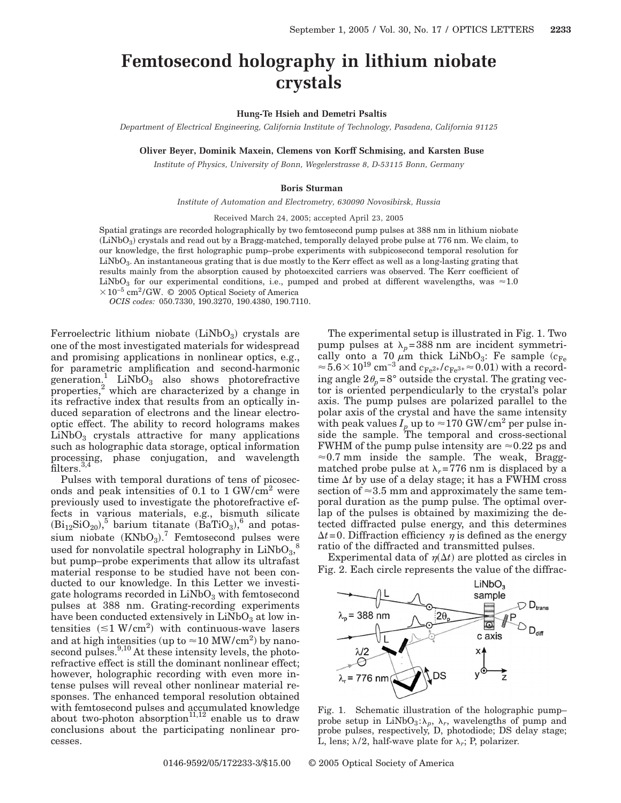## **Femtosecond holography in lithium niobate crystals**

**Hung-Te Hsieh and Demetri Psaltis**

*Department of Electrical Engineering, California Institute of Technology, Pasadena, California 91125*

**Oliver Beyer, Dominik Maxein, Clemens von Korff Schmising, and Karsten Buse**

*Institute of Physics, University of Bonn, Wegelerstrasse 8, D-53115 Bonn, Germany*

## **Boris Sturman**

*Institute of Automation and Electrometry, 630090 Novosibirsk, Russia*

Received March 24, 2005; accepted April 23, 2005

Spatial gratings are recorded holographically by two femtosecond pump pulses at 388 nm in lithium niobate  $\rm (LiNbO_3)$  crystals and read out by a Bragg-matched, temporally delayed probe pulse at  $776$  nm. We claim, to our knowledge, the first holographic pump–probe experiments with subpicosecond temporal resolution for  $LiNbO<sub>3</sub>$ . An instantaneous grating that is due mostly to the Kerr effect as well as a long-lasting grating that results mainly from the absorption caused by photoexcited carriers was observed. The Kerr coefficient of LiNbO<sub>3</sub> for our experimental conditions, i.e., pumped and probed at different wavelengths, was  $\approx 1.0$  $\times 10^{-5}$  cm<sup>2</sup>/GW. © 2005 Optical Society of America

*OCIS codes:* 050.7330, 190.3270, 190.4380, 190.7110.

Ferroelectric lithium niobate  $(LiNbO<sub>3</sub>)$  crystals are one of the most investigated materials for widespread and promising applications in nonlinear optics, e.g., for parametric amplification and second-harmonic generation.<sup>1</sup> LiNbO<sub>3</sub> also shows photorefractive properties,<sup>2</sup> which are characterized by a change in its refractive index that results from an optically induced separation of electrons and the linear electrooptic effect. The ability to record holograms makes  $LiNbO<sub>3</sub>$  crystals attractive for many applications such as holographic data storage, optical information processing, phase conjugation, and wavelength filters.<sup>3,4</sup>

Pulses with temporal durations of tens of picoseconds and peak intensities of 0.1 to  $1 \text{ GW/cm}^2$  were previously used to investigate the photorefractive effects in various materials, e.g., bismuth silicate  $(Bi_{12}SiO_{20})$ <sup>5</sup> barium titanate  $(BaTiO<sub>3</sub>)$ <sup>6</sup> and potassium niobate  $(KNbO<sub>3</sub>)$ .<sup>7</sup> Femtosecond pulses were used for nonvolatile spectral holography in  $\text{LiNbO}_{3},^8$ but pump–probe experiments that allow its ultrafast material response to be studied have not been conducted to our knowledge. In this Letter we investigate holograms recorded in  $LiNbO<sub>3</sub>$  with femtosecond pulses at 388 nm. Grating-recording experiments have been conducted extensively in  $LiNbO<sub>3</sub>$  at low intensities  $(\leq 1 \text{ W/cm}^2)$  with continuous-wave lasers and at high intensities (up to  $\approx$  10 MW/cm<sup>2</sup>) by nanosecond pulses.<sup>9,10</sup> At these intensity levels, the photorefractive effect is still the dominant nonlinear effect; however, holographic recording with even more intense pulses will reveal other nonlinear material responses. The enhanced temporal resolution obtained with femtosecond pulses and accumulated knowledge about two-photon absorption<sup>11,12</sup> enable us to draw conclusions about the participating nonlinear processes.

The experimental setup is illustrated in Fig. 1. Two pump pulses at  $\lambda_p$ =388 nm are incident symmetrically onto a 70  $\mu$ m thick LiNbO<sub>3</sub>: Fe sample ( $c_{\text{Fe}}$ )  $\approx$ 5.6×10<sup>19</sup> cm<sup>-3</sup> and  $c_{Fe^{2+}}/c_{Fe^{3+}}$ ≈0.01) with a recording angle  $2\theta_p=8^\circ$  outside the crystal. The grating vector is oriented perpendicularly to the crystal's polar axis. The pump pulses are polarized parallel to the polar axis of the crystal and have the same intensity with peak values  $I_p$  up to  $\approx$  170 GW/cm<sup>2</sup> per pulse inside the sample. The temporal and cross-sectional FWHM of the pump pulse intensity are  $\approx 0.22$  ps and  $\approx 0.7$  mm inside the sample. The weak, Braggmatched probe pulse at  $\lambda_r$ =776 nm is displaced by a time  $\Delta t$  by use of a delay stage; it has a FWHM cross section of  $\approx$  3.5 mm and approximately the same temporal duration as the pump pulse. The optimal overlap of the pulses is obtained by maximizing the detected diffracted pulse energy, and this determines  $\Delta t = 0$ . Diffraction efficiency  $\eta$  is defined as the energy ratio of the diffracted and transmitted pulses.

Experimental data of  $\eta(\Delta t)$  are plotted as circles in Fig. 2. Each circle represents the value of the diffrac-



Fig. 1. Schematic illustration of the holographic pump– probe setup in  $LiNbO<sub>3</sub>: \lambda<sub>p</sub>$ ,  $\lambda<sub>r</sub>$ , wavelengths of pump and probe pulses, respectively, D, photodiode; DS delay stage; L, lens;  $\lambda/2$ , half-wave plate for  $\lambda_r$ ; P, polarizer.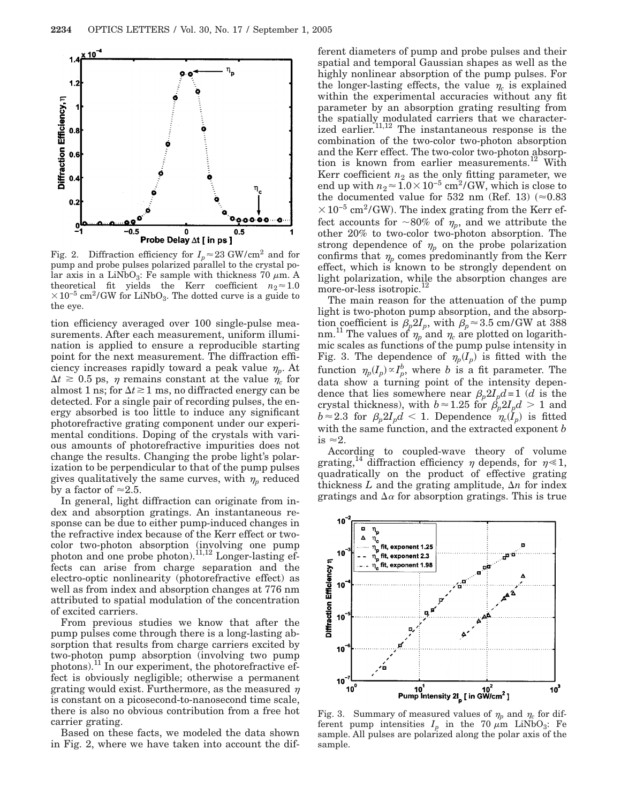

Fig. 2. Diffraction efficiency for  $I_p \approx 23$  GW/cm<sup>2</sup> and for pump and probe pulses polarized parallel to the crystal polar axis in a LiNbO<sub>3</sub>: Fe sample with thickness 70  $\mu$ m. A theoretical fit yields the Kerr coefficient  $n_2 \approx 1.0$  $\times 10^{-5}$  cm<sup>2</sup>/GW for LiNbO<sub>3</sub>. The dotted curve is a guide to the eye.

tion efficiency averaged over 100 single-pulse measurements. After each measurement, uniform illumination is applied to ensure a reproducible starting point for the next measurement. The diffraction efficiency increases rapidly toward a peak value  $\eta_p$ . At  $\Delta t \geq 0.5$  ps,  $\eta$  remains constant at the value  $\eta_c$  for almost 1 ns; for  $\Delta t \gtrsim 1$  ms, no diffracted energy can be detected. For a single pair of recording pulses, the energy absorbed is too little to induce any significant photorefractive grating component under our experimental conditions. Doping of the crystals with various amounts of photorefractive impurities does not change the results. Changing the probe light's polarization to be perpendicular to that of the pump pulses gives qualitatively the same curves, with  $\eta_p$  reduced by a factor of  $\approx$  2.5.

In general, light diffraction can originate from index and absorption gratings. An instantaneous response can be due to either pump-induced changes in the refractive index because of the Kerr effect or twocolor two-photon absorption (involving one pump photon and one probe photon).<sup>11,12</sup> Longer-lasting effects can arise from charge separation and the electro-optic nonlinearity (photorefractive effect) as well as from index and absorption changes at 776 nm attributed to spatial modulation of the concentration of excited carriers.

From previous studies we know that after the pump pulses come through there is a long-lasting absorption that results from charge carriers excited by two-photon pump absorption (involving two pump photons).11 In our experiment, the photorefractive effect is obviously negligible; otherwise a permanent grating would exist. Furthermore, as the measured  $\eta$ is constant on a picosecond-to-nanosecond time scale, there is also no obvious contribution from a free hot carrier grating.

Based on these facts, we modeled the data shown in Fig. 2, where we have taken into account the different diameters of pump and probe pulses and their spatial and temporal Gaussian shapes as well as the highly nonlinear absorption of the pump pulses. For the longer-lasting effects, the value  $\eta_c$  is explained within the experimental accuracies without any fit parameter by an absorption grating resulting from the spatially modulated carriers that we characterized earlier.<sup>11,12</sup> The instantaneous response is the combination of the two-color two-photon absorption and the Kerr effect. The two-color two-photon absorption is known from earlier measurements.<sup>12</sup> With Kerr coefficient  $n_2$  as the only fitting parameter, we end up with  $n_2 \approx 1.0 \times 10^{-5}$  cm<sup>2</sup>/GW, which is close to the documented value for 532 nm (Ref. 13)  $(\approx 0.83$  $\times 10^{-5}$  cm<sup>2</sup>/GW). The index grating from the Kerr effect accounts for  $\sim 80\%$  of  $\eta_p$ , and we attribute the other 20% to two-color two-photon absorption. The strong dependence of  $\eta_p$  on the probe polarization confirms that  $\eta_p$  comes predominantly from the Kerr effect, which is known to be strongly dependent on light polarization, while the absorption changes are more-or-less isotropic.12

The main reason for the attenuation of the pump light is two-photon pump absorption, and the absorption coefficient is  $\beta_p 2I_p$ , with  $\beta_p \approx 3.5$  cm/GW at 388 nm.<sup>11</sup> The values of  $\eta_p$  and  $\eta_c$  are plotted on logarithmic scales as functions of the pump pulse intensity in Fig. 3. The dependence of  $\eta_p(I_p)$  is fitted with the function  $\eta_p(I_p) \propto I_p^b$ , where *b* is a fit parameter. The data show a turning point of the intensity dependence that lies somewhere near  $\beta_p 2I_p d = 1$  (*d* is the crystal thickness), with  $b \approx 1.25$  for  $\beta_p 2I_p d > 1$  and  $b \approx 2.3$  for  $\beta_p 2I_p d < 1$ . Dependence  $\eta_c(I_p)$  is fitted with the same function, and the extracted exponent *b* is  $\approx 2$ .

According to coupled-wave theory of volume grating,<sup>14</sup> diffraction efficiency  $\eta$  depends, for  $\eta \ll 1$ , quadratically on the product of effective grating thickness  $L$  and the grating amplitude,  $\Delta n$  for index gratings and  $\Delta \alpha$  for absorption gratings. This is true



Fig. 3. Summary of measured values of  $\eta_p$  and  $\eta_c$  for different pump intensities  $I_p$  in the 70  $\mu$ m LiNbO<sub>3</sub>: Fe sample. All pulses are polarized along the polar axis of the sample.